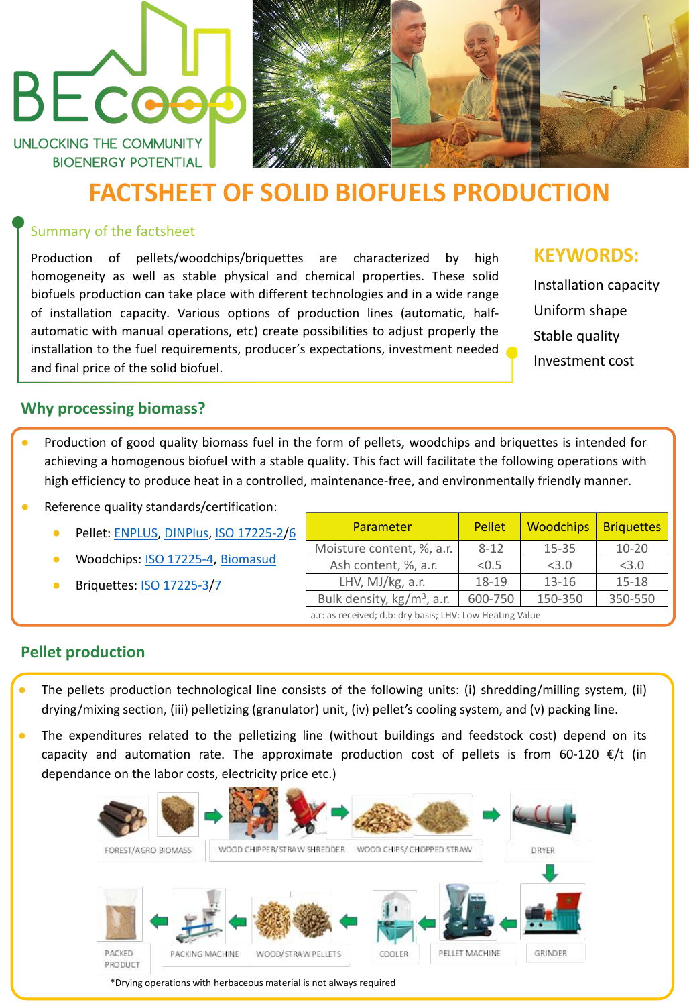## UNLOCKING THE COMMUNITY **BIOENERGY POTENTIAL**

BEcoe



# **FACTSHEET OF SOLID BIOFUELS PRODUCTION**

## Summary of the factsheet

Production of pellets/woodchips/briquettes are characterized by high homogeneity as well as stable physical and chemical properties. These solid biofuels production can take place with different technologies and in a wide range of installation capacity. Various options of production lines (automatic, halfautomatic with manual operations, etc) create possibilities to adjust properly the installation to the fuel requirements, producer's expectations, investment needed and final price of the solid biofuel.

## **KEYWORDS:**

Installation capacity Uniform shape Stable quality Investment cost

- The pellets production technological line consists of the following units: (i) shredding/milling system, (ii) drying/mixing section, (iii) pelletizing (granulator) unit, (iv) pellet's cooling system, and (v) packing line.
- The expenditures related to the pelletizing line (without buildings and feedstock cost) depend on its capacity and automation rate. The approximate production cost of pellets is from 60-120  $\epsilon/t$  (in dependance on the labor costs, electricity price etc.)



## **Why processing biomass?**

- Production of good quality biomass fuel in the form of pellets, woodchips and briquettes is intended for achieving a homogenous biofuel with a stable quality. This fact will facilitate the following operations with high efficiency to produce heat in a controlled, maintenance-free, and environmentally friendly manner.
- Reference quality standards/certification:
	- Pellet: [ENPLUS,](https://enplus-pellets.eu/es/) [DINPlus,](https://www.dincertco.de/din-certco/en/main-navigation/products-and-services/certification-of-products/fuels/wood-pellets-for-central-heating-boilers/) ISO [17225-2/](https://www.iso.org/standard/76088.html)[6](https://www.iso.org/standard/76093.html)
	- Woodchips: ISO [17225-4,](https://www.iso.org/standard/76091.html) [Biomasud](http://biomasudplus.eu/es_ES/certification-system/)
	- **Briquettes: <u>ISO [17225-3](https://www.iso.org/standard/76089.html)[/7](https://www.iso.org/standard/76094.html)</u>**

## **Pellet production**

| Parameter                                                | <b>Pellet</b> | <b>Woodchips</b> | <b>Briquettes</b> |  |
|----------------------------------------------------------|---------------|------------------|-------------------|--|
| Moisture content, %, a.r.                                | $8 - 12$      | $15 - 35$        | $10 - 20$         |  |
| Ash content, %, a.r.                                     | < 0.5         | < 3.0            | < 3.0             |  |
| LHV, MJ/kg, a.r.                                         | 18-19         | $13 - 16$        | $15 - 18$         |  |
| Bulk density, $kg/m^3$ , a.r.                            | 600-750       | 150-350          | 350-550           |  |
| a.r: as received; d.b: dry basis; LHV: Low Heating Value |               |                  |                   |  |

\*Drying operations with herbaceous material is not always required